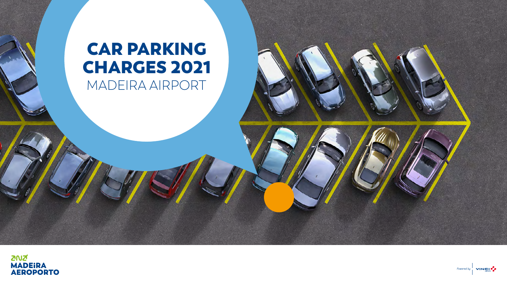# CAR PARKING CHARGES 2021 MADEIRA AIRPORT



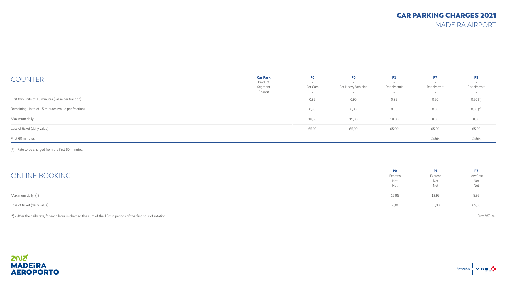MADEIRA AIRPORT

| <b>COUNTER</b>                                     | <b>Car Park</b><br>Product<br>Segment<br>Charge | P <sub>0</sub><br>$\overline{\phantom{0}}$<br>Rot Cars<br>$\sim$ | P0<br>Rot Heavy Vehicles | <b>P1</b><br>Rot / Permit<br>$-$ | P7<br>Rot /Permit<br>$-$ | P <sub>8</sub><br>Rot /Permit<br>$\sim$ |
|----------------------------------------------------|-------------------------------------------------|------------------------------------------------------------------|--------------------------|----------------------------------|--------------------------|-----------------------------------------|
| First two units of 15 minutes (value per fraction) |                                                 | 0,85                                                             | 0,90                     | 0,85                             | 0,60                     | $0,60 (*)$                              |
| Remaining Units of 15 minutes (value per fraction) |                                                 | 0,85                                                             | 0,90                     | 0,85                             | 0,60                     | $0,60 (*)$                              |
| Maximum daily                                      |                                                 | 18,50                                                            | 19,00                    | 18,50                            | 8,50                     | 8,50                                    |
| Loss of ticket (daily value)                       |                                                 | 65,00                                                            | 65,00                    | 65,00                            | 65,00                    | 65,00                                   |
| First 60 minutes                                   |                                                 |                                                                  |                          |                                  | Grátis                   | Grátis                                  |

(\*) - Rate to be charged from the first 60 minutes.

| ONLINE BOOKING               | P <sub>0</sub><br>Express<br>Net<br>Net | P1<br>Express<br>Net<br>Net | P7<br>Low Cost<br>Net<br>Net |
|------------------------------|-----------------------------------------|-----------------------------|------------------------------|
| Maximum daily (*)            | 12,95                                   | 12,95                       | 5,95                         |
| Loss of ticket (daily value) | 65,00                                   | 65,00                       | 65,00                        |

(\*) - After the daily rate, for each hour, is charged the sum of the 15min periods of the first hour of rotation.

Euros VAT Incl.

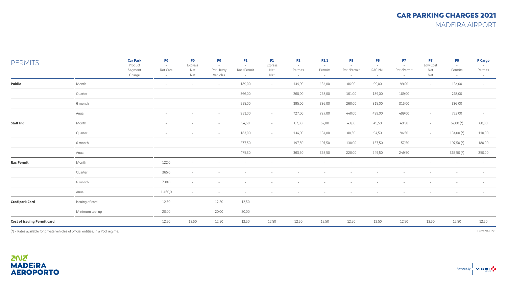MADEIRA AIRPORT

| <b>PERMITS</b>                     |                 | <b>Car Park</b><br>Product<br>Segment<br>Charge | P <sub>0</sub><br>$\sim$<br>Rot Cars<br>$\sim$ | P <sub>0</sub><br>Express<br>Net<br>Net | P <sub>0</sub><br>$\overline{a}$<br>Rot Heavy<br>Vehicles | P1<br>$\sim$<br>Rot /Permit<br>$\sim$ | <b>P1</b><br>Express<br>Net<br>Net | <b>P2</b><br>$\sim$<br>Permits<br>$\sim$ | <b>P2.1</b><br>$\sim$<br>Permits<br>$\sim$ | <b>P5</b><br>$\sim$<br>Rot /Permit<br>$\sim$ | <b>P6</b><br>$\sim$<br>RAC N/L<br>$\sim$ | P7<br>$\sim$<br>Rot /Permit<br>$\sim$ | P7<br>Low Cost<br>Net<br>Net | P9<br>$\sim$<br>Permits<br>$\sim$ | P Cargo<br>Permits<br>$\sim$ |
|------------------------------------|-----------------|-------------------------------------------------|------------------------------------------------|-----------------------------------------|-----------------------------------------------------------|---------------------------------------|------------------------------------|------------------------------------------|--------------------------------------------|----------------------------------------------|------------------------------------------|---------------------------------------|------------------------------|-----------------------------------|------------------------------|
| Public                             | Month           |                                                 | $\sim$                                         | $\sim$                                  | $\overline{a}$                                            | 189,00                                | $\sim$                             | 134,00                                   | 134,00                                     | 86,00                                        | 99,00                                    | 99,00                                 | $\sim$                       | 134,00                            | $\sim$                       |
|                                    | Quarter         |                                                 | $\sim$                                         | $\sim$                                  | $-$                                                       | 366,00                                | $\sim$                             | 268,00                                   | 268,00                                     | 161,00                                       | 189,00                                   | 189,00                                | $\sim$                       | 268,00                            | $\sim$                       |
|                                    | 6 month         |                                                 | $\sim$                                         | $\sim$                                  | $\overline{a}$                                            | 555,00                                | $\sim$                             | 395,00                                   | 395,00                                     | 260,00                                       | 315,00                                   | 315,00                                | $\sim$                       | 395,00                            | $\sim$                       |
|                                    | Anual           |                                                 | $\sim$                                         | $\sim$                                  | $-$                                                       | 951,00                                | $\sim$                             | 727,00                                   | 727,00                                     | 440,00                                       | 499,00                                   | 499,00                                | $\sim$                       | 727,00                            | $\sim$                       |
| <b>Staff Ind</b>                   | Month           |                                                 |                                                |                                         | $\sim$                                                    | 94,50                                 | $\sim$                             | 67,00                                    | 67,00                                      | 43,00                                        | 49,50                                    | 49,50                                 | $\sim$                       | 67,00 (*)                         | 60,00                        |
|                                    | Quarter         |                                                 | $\sim$                                         | $\sim$                                  | $-$                                                       | 183,00                                | $\sim$                             | 134,00                                   | 134,00                                     | 80,50                                        | 94,50                                    | 94,50                                 | $\sim$                       | 134,00 (*)                        | 110,00                       |
|                                    | 6 month         |                                                 | $\sim$                                         | $\sim$                                  | $-$                                                       | 277,50                                | $\sim$                             | 197,50                                   | 197,50                                     | 130,00                                       | 157,50                                   | 157,50                                | $\sim$                       | 197,50 (*)                        | 180,00                       |
|                                    | Anual           |                                                 | $\sim$                                         | $\sim$                                  | $\sim$                                                    | 475,50                                | $\sim$                             | 363,50                                   | 363,50                                     | 220,00                                       | 249,50                                   | 249,50                                | $\sim$                       | $363,50 (*)$                      | 250,00                       |
| <b>Rac Permit</b>                  | Month           |                                                 | 122,0                                          | $\sim$                                  |                                                           | $\sim$                                |                                    |                                          | $\overline{\phantom{a}}$                   |                                              |                                          | $\overline{\phantom{a}}$              |                              |                                   | $\sim$                       |
|                                    | Quarter         |                                                 | 365,0                                          | $\sim$                                  |                                                           |                                       |                                    |                                          |                                            |                                              |                                          |                                       |                              |                                   | $\overline{\phantom{a}}$     |
|                                    | 6 month         |                                                 | 730,0                                          | $\sim$                                  |                                                           | $\overline{\phantom{a}}$              |                                    |                                          | $\overline{\phantom{a}}$                   |                                              |                                          | $\overline{\phantom{a}}$              | $\sim$                       |                                   | $\overline{\phantom{a}}$     |
|                                    | Anual           |                                                 | 1460,0                                         | $\sim$                                  | $\sim$                                                    | $\sim$                                | $\sim$                             | $\sim$                                   | $\sim$                                     | $\sim$                                       | $\sim$                                   | $\sim$                                | $\sim$                       | $\sim$                            | $\overline{\phantom{a}}$     |
| <b>Credipark Card</b>              | Issuing of card |                                                 | 12,50                                          | $\sim$                                  | 12,50                                                     | 12,50                                 | $\overline{\phantom{a}}$           |                                          | $\sim$                                     | $\overline{\phantom{a}}$                     |                                          | $\overline{\phantom{a}}$              |                              |                                   | $\overline{\phantom{a}}$     |
|                                    | Minimum top-up  |                                                 | 20,00                                          | $\sim$                                  | 20,00                                                     | 20,00                                 | $\sim$                             |                                          | $\sim$                                     | $\sim$                                       |                                          | $\sim$                                | $\sim$                       |                                   | $\sim$                       |
| <b>Cost of issuing Permit card</b> |                 |                                                 | 12,50                                          | 12,50                                   | 12,50                                                     | 12,50                                 | 12,50                              | 12,50                                    | 12,50                                      | 12,50                                        | 12,50                                    | 12,50                                 | 12,50                        | 12,50                             | 12,50                        |
|                                    |                 |                                                 |                                                |                                         |                                                           |                                       |                                    |                                          |                                            |                                              |                                          |                                       |                              |                                   |                              |

(\*) - Rates available for private vehicles of official entities, in a Pool regime. Euros VAT Incl.

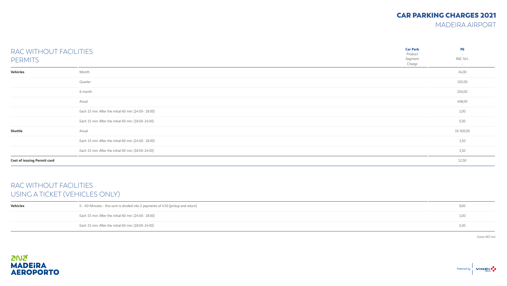MADEIRA AIRPORT

| RAC WITHOUT FACILITIES<br><b>PERMITS</b> |                                                       | <b>Car Park</b><br>Product<br>Segment<br>Charge | <b>P6</b><br>$\sim$<br>RAC N/L<br>$\sim$ |
|------------------------------------------|-------------------------------------------------------|-------------------------------------------------|------------------------------------------|
| Vehicles                                 | Month                                                 |                                                 | 34,00                                    |
|                                          | Quarter                                               |                                                 | 102,00                                   |
|                                          | 6 month                                               |                                                 | 204,00                                   |
|                                          | Anual                                                 |                                                 | 408,00                                   |
|                                          | Each 15 min. After the initial 60 min. (24:00- 18:00) |                                                 | 1,00                                     |
|                                          | Each 15 min. After the initial 60 min. (18:00-24:00)  |                                                 | 0,30                                     |
| Shuttle                                  | Anual                                                 |                                                 | 16 500,00                                |
|                                          | Each 15 min. After the initial 60 min. (24:00- 18:00) |                                                 | 1,50                                     |
|                                          | Each 15 min. After the initial 60 min. (18:00-24:00)  |                                                 | 1,50                                     |
| <b>Cost of issuing Permit card</b>       |                                                       |                                                 | 12,50                                    |

### RAC WITHOUT FACILITIES USING A TICKET (VEHICLES ONLY)

| <b>Vehicles</b> | 0 - 60 Minutes - this sum is divided into 2 payments of 4.50 (pickup and return) | 9,00 |
|-----------------|----------------------------------------------------------------------------------|------|
|                 | Each 15 min. After the initial 60 min. (24:00- 18:00)                            | 1,00 |
|                 | Each 15 min. After the initial 60 min. (18:00-24:00)                             | 0,30 |

Euros VAT Incl.